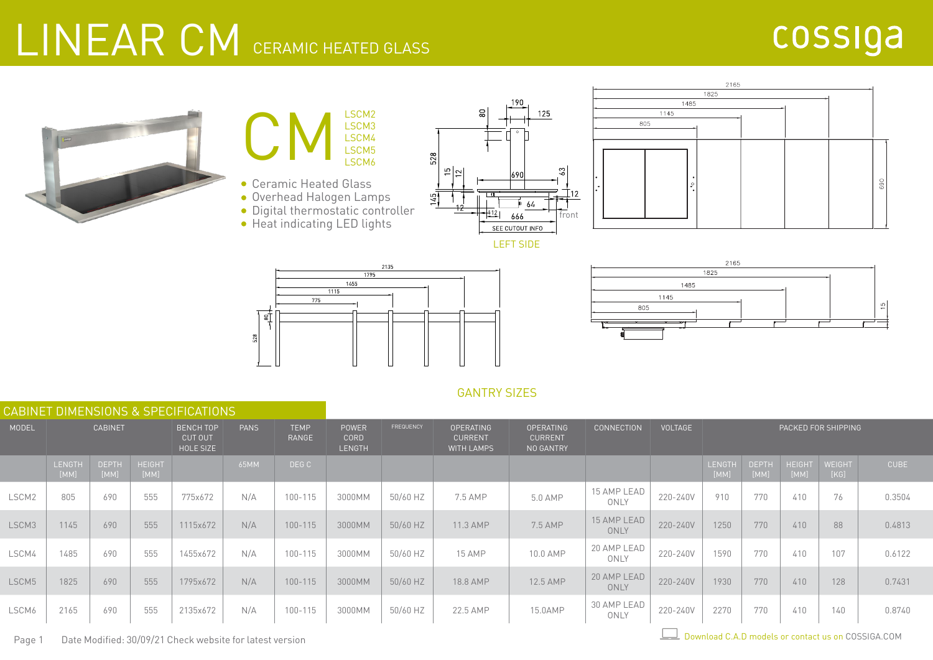## LINEAR CM CERAMIC HEATED GLASS

#### cossiga





- Digital thermostatic controller
- Heat indicating LED lights











#### GANTRY SIZES

|       | CABINET DIMENSIONS & SPECIFICATIONS |                      |                                                                |          |                      |                                       |                                                                                                                         |          |          |                   |                     |                     |                |                      |                       |                |             |
|-------|-------------------------------------|----------------------|----------------------------------------------------------------|----------|----------------------|---------------------------------------|-------------------------------------------------------------------------------------------------------------------------|----------|----------|-------------------|---------------------|---------------------|----------------|----------------------|-----------------------|----------------|-------------|
| MODEL | <b>CABINET</b>                      |                      | <b>BENCH TOP</b><br><b>PANS</b><br><b>CUT OUT</b><br>HOLE SIZE |          | <b>TEMP</b><br>RANGE | <b>POWER</b><br>CORD<br><b>LENGTH</b> | FREQUENCY<br><b>OPERATING</b><br><b>OPERATING</b><br><b>CURRENT</b><br><b>CURRENT</b><br><b>WITH LAMPS</b><br>NO GANTRY |          |          | <b>CONNECTION</b> | <b>VOLTAGE</b>      | PACKED FOR SHIPPING |                |                      |                       |                |             |
|       | LENGTH<br>[MM]                      | <b>DEPTH</b><br>[MM] | <b>HEIGHT</b><br>[MM]                                          |          | 65MM                 | DEG C                                 |                                                                                                                         |          |          |                   |                     |                     | LENGTH<br>[MM] | <b>DEPTH</b><br>[MM] | <b>HEIGHT</b><br>[MM] | WEIGHT<br>[KG] | <b>CUBE</b> |
| LSCM2 | 805                                 | 690                  | 555                                                            | 775x672  | N/A                  | 100-115                               | 3000MM                                                                                                                  | 50/60 HZ | 7.5 AMP  | 5.0 AMP           | 15 AMP LEAD<br>ONLY | 220-240V            | 910            | 770                  | 410                   | 76             | 0.3504      |
| LSCM3 | 1145                                | 690                  | 555                                                            | 1115x672 | N/A                  | $100 - 115$                           | 3000MM                                                                                                                  | 50/60 HZ | 11.3 AMP | 7.5 AMP           | 15 AMP LEAD<br>ONLY | 220-240V            | 1250           | 770                  | 410                   | 88             | 0.4813      |
| LSCM4 | 1485                                | 690                  | 555                                                            | 1455x672 | N/A                  | 100-115                               | 3000MM                                                                                                                  | 50/60 HZ | 15 AMP   | 10.0 AMP          | 20 AMP LEAD<br>ONLY | 220-240V            | 1590           | 770                  | 410                   | 107            | 0.6122      |
| LSCM5 | 1825                                | 690                  | 555                                                            | 1795x672 | N/A                  | $100 - 115$                           | 3000MM                                                                                                                  | 50/60 HZ | 18.8 AMP | 12.5 AMP          | 20 AMP LEAD<br>ONLY | 220-240V            | 1930           | 770                  | 410                   | 128            | 0.7431      |
| LSCM6 | 2165                                | 690                  | 555                                                            | 2135x672 | N/A                  | 100-115                               | 3000MM                                                                                                                  | 50/60 HZ | 22.5 AMP | 15.0AMP           | 30 AMP LEAD<br>ONLY | 220-240V            | 2270           | 770                  | 410                   | 140            | 0.8740      |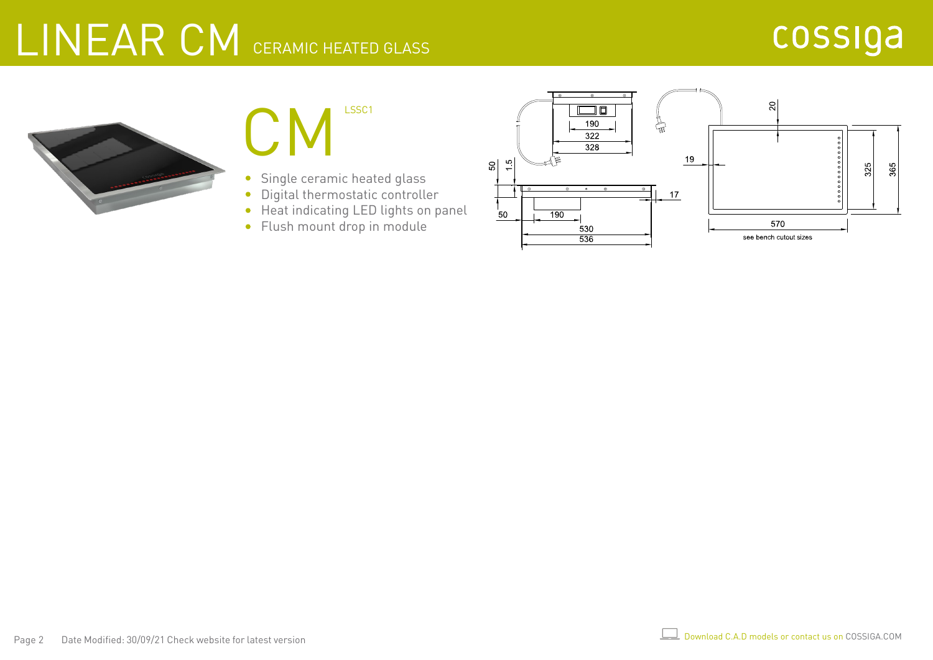# LINEAR CM CERAMIC HEATED GLASS





- Single ceramic heated glass  $\bullet$
- Digital thermostatic controller  $\bullet$
- Heat indicating LED lights on panel
- Flush mount drop in module

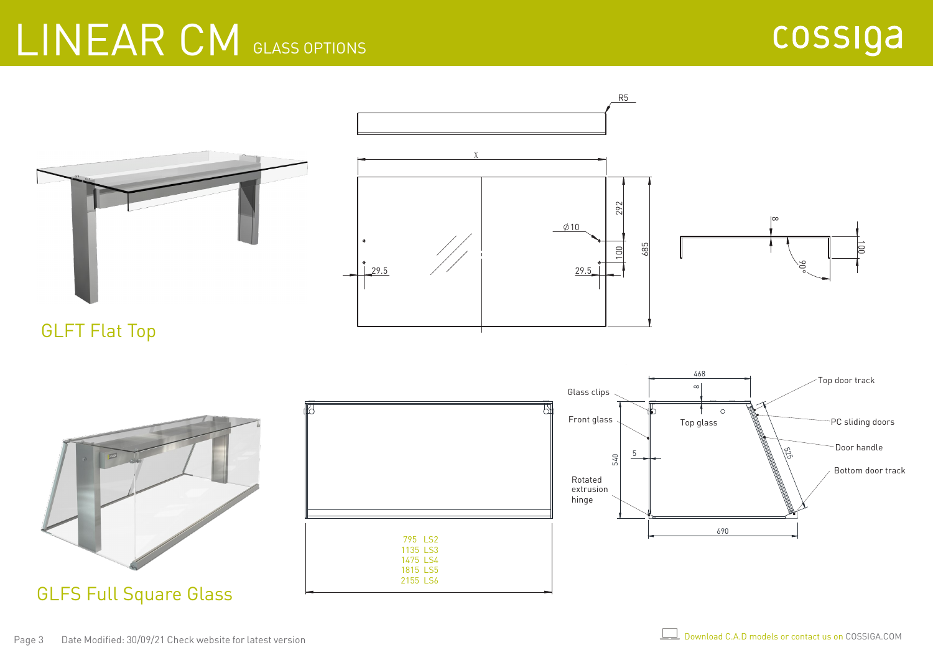### LINEAR CM GLASS OPTIONS



GLFT Flat Top



GLFS Full Square Glass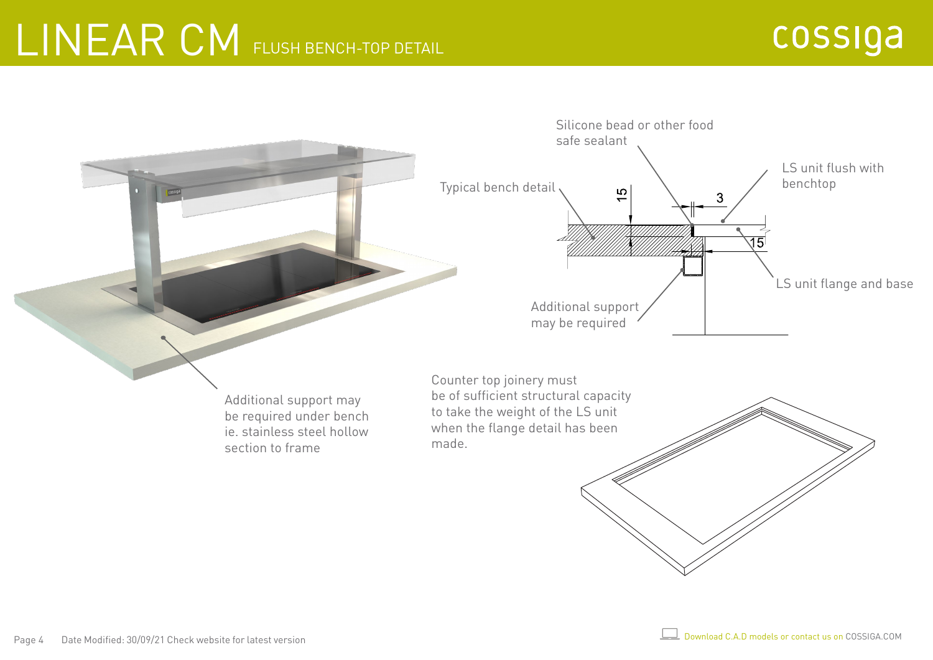### LINEAR CM FLUSH BENCH-TOP DETAIL

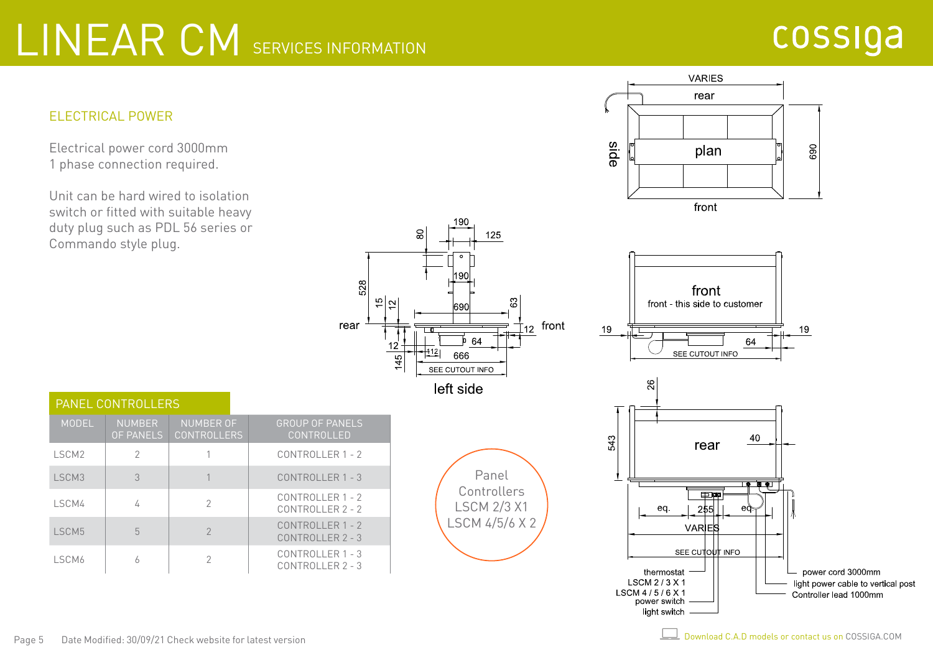# LINEAR CM SERVICES INFORMATION

#### cossiga

690



Electrical power cord 3000mm 1 phase connection required.

Unit can be hard wired to isolation switch or fitted with suitable heavy duty plug such as PDL 56 series or Commando style plug.



| <b>PANEL CONTROLLERS</b> |                                   |                                        |                                          |  |  |  |  |  |  |  |
|--------------------------|-----------------------------------|----------------------------------------|------------------------------------------|--|--|--|--|--|--|--|
| MODEL                    | <b>NUMBER</b><br><b>OF PANELS</b> | <b>NUMBER OF</b><br><b>CONTROLLERS</b> | <b>GROUP OF PANELS</b><br>CONTROLLED     |  |  |  |  |  |  |  |
| LSCM <sub>2</sub>        | 2                                 |                                        | CONTROLLER 1 - 2                         |  |  |  |  |  |  |  |
| LSCM3                    | 3                                 |                                        | CONTROLLER 1 - 3                         |  |  |  |  |  |  |  |
| LSCM4                    | 4                                 | $\mathcal{P}$                          | CONTROLLER 1 - 2<br>$CONTROI I FR 2 - 2$ |  |  |  |  |  |  |  |
| LSCM5                    | 5                                 | $\mathcal{P}$                          | CONTROLLER 1 - 2<br>CONTROLLER 2 - 3     |  |  |  |  |  |  |  |
| LSCM6                    | Ь                                 | $\mathcal{P}$                          | CONTROLLER 1 - 3<br>$CONTROI I FR 2 - 3$ |  |  |  |  |  |  |  |





**VARIES** rear

plan

front

side

LSCM 4/5/6 X 1

power switch light switch